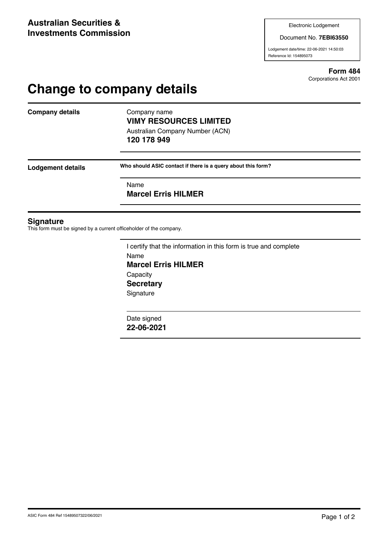Document No. **7EBI63550**

Lodgement date/time: 22-06-2021 14:50:03 Reference Id: 154895073

> **Form 484** Corporations Act 2001

# **Change to company details**

**Company details** Company name

## **VIMY RESOURCES LIMITED** Australian Company Number (ACN)

**120 178 949**

**Lodgement details Who should ASIC contact if there is a query about this form?**

Name

**Marcel Erris HILMER**

#### **Signature**

This form must be signed by a current officeholder of the company.

I certify that the information in this form is true and complete Name **Marcel Erris HILMER Capacity Secretary Signature** 

Date signed **22-06-2021**